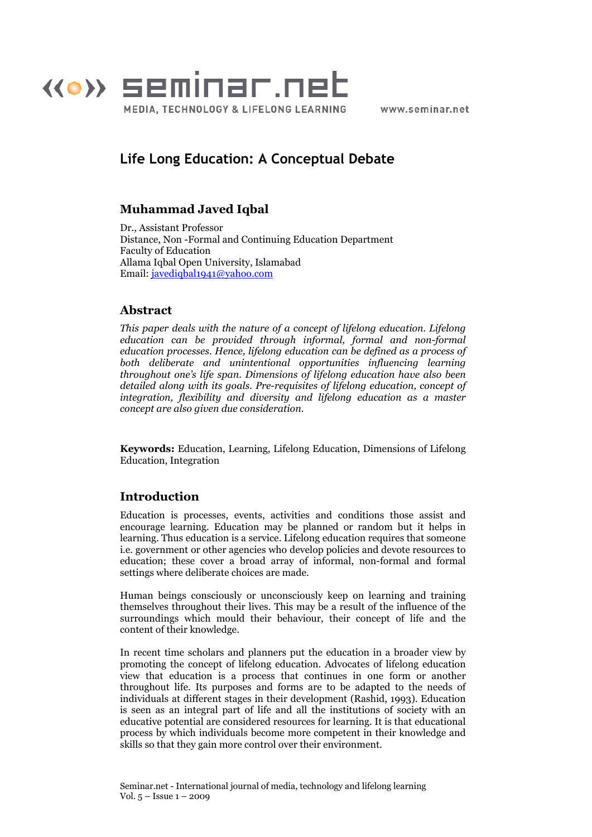

www.seminar.net

# Life Long Education: A Conceptual Debate

# Muhammad Javed Iqbal

Dr., Assistant Professor Distance, Non -Formal and Continuing Education Department Faculty of Education Allama Iqbal Open University, Islamabad Email: javediqbal1941@yahoo.com

# Abstract

This paper deals with the nature of a concept of lifelong education. Lifelong education can be provided through informal, formal and non-formal education processes. Hence, lifelong education can be defined as a process of both deliberate and unintentional opportunities influencing learning throughout one's life span. Dimensions of lifelong education have also been detailed along with its goals. Pre-requisites of lifelong education, concept of integration, flexibility and diversity and lifelong education as a master concept are also given due consideration.

Keywords: Education, Learning, Lifelong Education, Dimensions of Lifelong Education, Integration

# Introduction

Education is processes, events, activities and conditions those assist and encourage learning. Education may be planned or random but it helps in learning. Thus education is a service. Lifelong education requires that someone i.e. government or other agencies who develop policies and devote resources to education; these cover a broad array of informal, non-formal and formal settings where deliberate choices are made.

Human beings consciously or unconsciously keep on learning and training themselves throughout their lives. This may be a result of the influence of the surroundings which mould their behaviour, their concept of life and the content of their knowledge.

In recent time scholars and planners put the education in a broader view by promoting the concept of lifelong education. Advocates of lifelong education view that education is a process that continues in one form or another throughout life. Its purposes and forms are to be adapted to the needs of individuals at different stages in their development (Rashid, 1993). Education is seen as an integral part of life and all the institutions of society with an educative potential are considered resources for learning. It is that educational process by which individuals become more competent in their knowledge and skills so that they gain more control over their environment.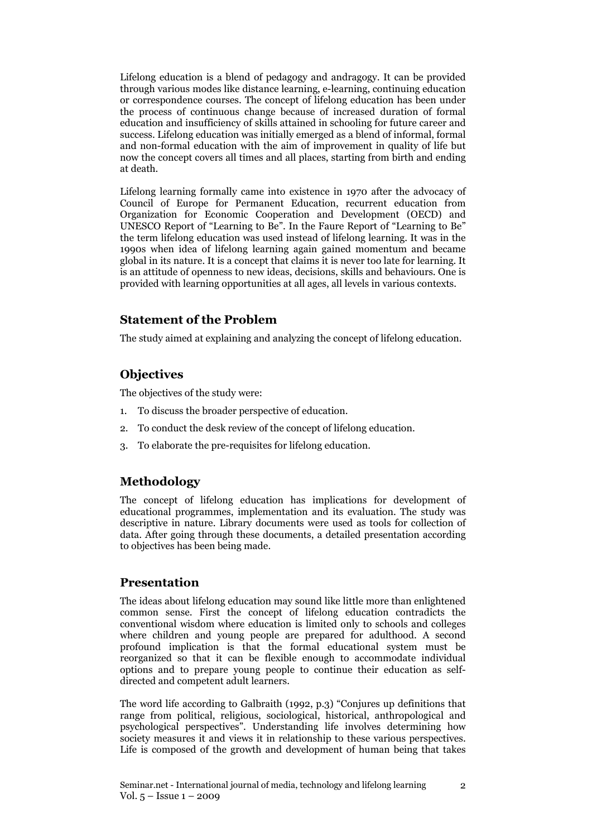Lifelong education is a blend of pedagogy and andragogy. It can be provided through various modes like distance learning, e-learning, continuing education or correspondence courses. The concept of lifelong education has been under the process of continuous change because of increased duration of formal education and insufficiency of skills attained in schooling for future career and success. Lifelong education was initially emerged as a blend of informal, formal and non-formal education with the aim of improvement in quality of life but now the concept covers all times and all places, starting from birth and ending at death.

Lifelong learning formally came into existence in 1970 after the advocacy of Council of Europe for Permanent Education, recurrent education from Organization for Economic Cooperation and Development (OECD) and UNESCO Report of "Learning to Be". In the Faure Report of "Learning to Be" the term lifelong education was used instead of lifelong learning. It was in the 1990s when idea of lifelong learning again gained momentum and became global in its nature. It is a concept that claims it is never too late for learning. It is an attitude of openness to new ideas, decisions, skills and behaviours. One is provided with learning opportunities at all ages, all levels in various contexts.

### Statement of the Problem

The study aimed at explaining and analyzing the concept of lifelong education.

## **Objectives**

The objectives of the study were:

- 1. To discuss the broader perspective of education.
- 2. To conduct the desk review of the concept of lifelong education.
- 3. To elaborate the pre-requisites for lifelong education.

## Methodology

The concept of lifelong education has implications for development of educational programmes, implementation and its evaluation. The study was descriptive in nature. Library documents were used as tools for collection of data. After going through these documents, a detailed presentation according to objectives has been being made.

### Presentation

The ideas about lifelong education may sound like little more than enlightened common sense. First the concept of lifelong education contradicts the conventional wisdom where education is limited only to schools and colleges where children and young people are prepared for adulthood. A second profound implication is that the formal educational system must be reorganized so that it can be flexible enough to accommodate individual options and to prepare young people to continue their education as selfdirected and competent adult learners.

The word life according to Galbraith (1992, p.3) "Conjures up definitions that range from political, religious, sociological, historical, anthropological and psychological perspectives". Understanding life involves determining how society measures it and views it in relationship to these various perspectives. Life is composed of the growth and development of human being that takes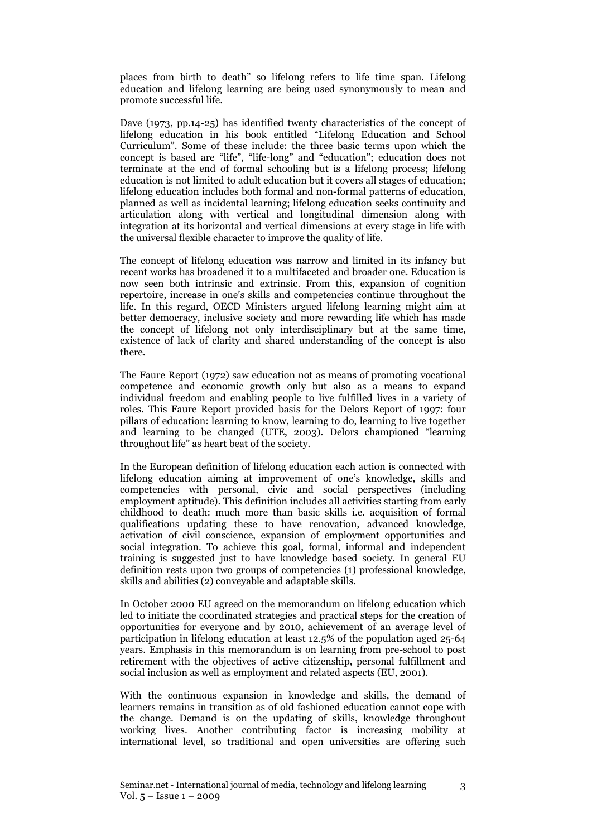places from birth to death" so lifelong refers to life time span. Lifelong education and lifelong learning are being used synonymously to mean and promote successful life.

Dave (1973, pp.14-25) has identified twenty characteristics of the concept of lifelong education in his book entitled "Lifelong Education and School Curriculum". Some of these include: the three basic terms upon which the concept is based are "life", "life-long" and "education"; education does not terminate at the end of formal schooling but is a lifelong process; lifelong education is not limited to adult education but it covers all stages of education; lifelong education includes both formal and non-formal patterns of education, planned as well as incidental learning; lifelong education seeks continuity and articulation along with vertical and longitudinal dimension along with integration at its horizontal and vertical dimensions at every stage in life with the universal flexible character to improve the quality of life.

The concept of lifelong education was narrow and limited in its infancy but recent works has broadened it to a multifaceted and broader one. Education is now seen both intrinsic and extrinsic. From this, expansion of cognition repertoire, increase in one's skills and competencies continue throughout the life. In this regard, OECD Ministers argued lifelong learning might aim at better democracy, inclusive society and more rewarding life which has made the concept of lifelong not only interdisciplinary but at the same time, existence of lack of clarity and shared understanding of the concept is also there.

The Faure Report (1972) saw education not as means of promoting vocational competence and economic growth only but also as a means to expand individual freedom and enabling people to live fulfilled lives in a variety of roles. This Faure Report provided basis for the Delors Report of 1997: four pillars of education: learning to know, learning to do, learning to live together and learning to be changed (UTE, 2003). Delors championed "learning throughout life" as heart beat of the society.

In the European definition of lifelong education each action is connected with lifelong education aiming at improvement of one's knowledge, skills and competencies with personal, civic and social perspectives (including employment aptitude). This definition includes all activities starting from early childhood to death: much more than basic skills i.e. acquisition of formal qualifications updating these to have renovation, advanced knowledge, activation of civil conscience, expansion of employment opportunities and social integration. To achieve this goal, formal, informal and independent training is suggested just to have knowledge based society. In general EU definition rests upon two groups of competencies (1) professional knowledge, skills and abilities (2) conveyable and adaptable skills.

In October 2000 EU agreed on the memorandum on lifelong education which led to initiate the coordinated strategies and practical steps for the creation of opportunities for everyone and by 2010, achievement of an average level of participation in lifelong education at least 12.5% of the population aged 25-64 years. Emphasis in this memorandum is on learning from pre-school to post retirement with the objectives of active citizenship, personal fulfillment and social inclusion as well as employment and related aspects (EU, 2001).

With the continuous expansion in knowledge and skills, the demand of learners remains in transition as of old fashioned education cannot cope with the change. Demand is on the updating of skills, knowledge throughout working lives. Another contributing factor is increasing mobility at international level, so traditional and open universities are offering such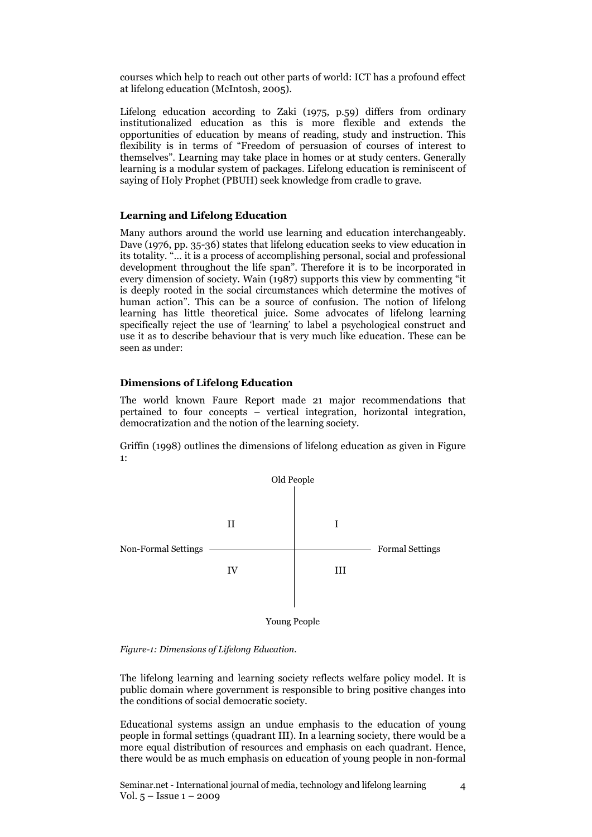courses which help to reach out other parts of world: ICT has a profound effect at lifelong education (McIntosh, 2005).

Lifelong education according to Zaki (1975, p.59) differs from ordinary institutionalized education as this is more flexible and extends the opportunities of education by means of reading, study and instruction. This flexibility is in terms of "Freedom of persuasion of courses of interest to themselves". Learning may take place in homes or at study centers. Generally learning is a modular system of packages. Lifelong education is reminiscent of saying of Holy Prophet (PBUH) seek knowledge from cradle to grave.

#### Learning and Lifelong Education

Many authors around the world use learning and education interchangeably. Dave (1976, pp. 35-36) states that lifelong education seeks to view education in its totality. "… it is a process of accomplishing personal, social and professional development throughout the life span". Therefore it is to be incorporated in every dimension of society. Wain (1987) supports this view by commenting "it is deeply rooted in the social circumstances which determine the motives of human action". This can be a source of confusion. The notion of lifelong learning has little theoretical juice. Some advocates of lifelong learning specifically reject the use of 'learning' to label a psychological construct and use it as to describe behaviour that is very much like education. These can be seen as under:

#### Dimensions of Lifelong Education

The world known Faure Report made 21 major recommendations that pertained to four concepts – vertical integration, horizontal integration, democratization and the notion of the learning society.

Griffin (1998) outlines the dimensions of lifelong education as given in Figure 1:



Figure-1: Dimensions of Lifelong Education.

The lifelong learning and learning society reflects welfare policy model. It is public domain where government is responsible to bring positive changes into the conditions of social democratic society.

Educational systems assign an undue emphasis to the education of young people in formal settings (quadrant III). In a learning society, there would be a more equal distribution of resources and emphasis on each quadrant. Hence, there would be as much emphasis on education of young people in non-formal

Seminar.net - International journal of media, technology and lifelong learning Vol. 5 – Issue 1 – 2009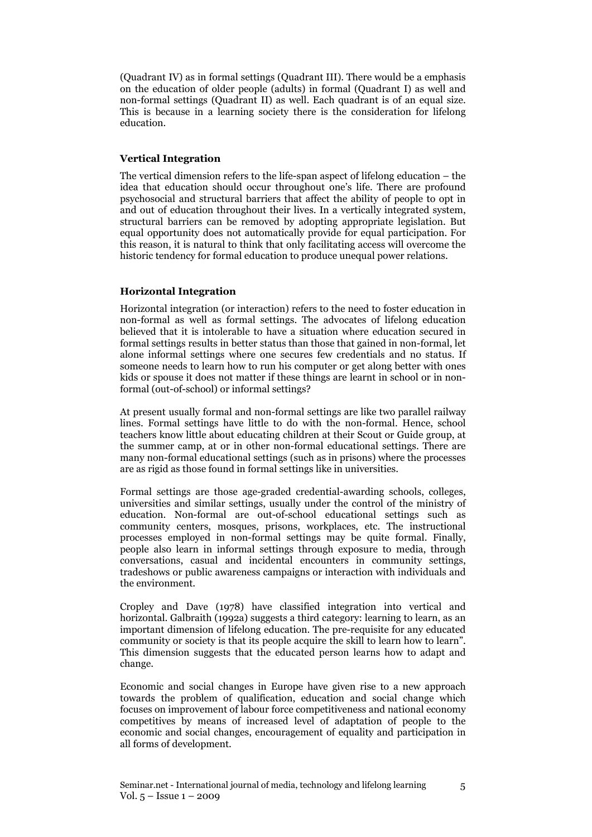(Quadrant IV) as in formal settings (Quadrant III). There would be a emphasis on the education of older people (adults) in formal (Quadrant I) as well and non-formal settings (Quadrant II) as well. Each quadrant is of an equal size. This is because in a learning society there is the consideration for lifelong education.

#### Vertical Integration

The vertical dimension refers to the life-span aspect of lifelong education – the idea that education should occur throughout one's life. There are profound psychosocial and structural barriers that affect the ability of people to opt in and out of education throughout their lives. In a vertically integrated system, structural barriers can be removed by adopting appropriate legislation. But equal opportunity does not automatically provide for equal participation. For this reason, it is natural to think that only facilitating access will overcome the historic tendency for formal education to produce unequal power relations.

#### Horizontal Integration

Horizontal integration (or interaction) refers to the need to foster education in non-formal as well as formal settings. The advocates of lifelong education believed that it is intolerable to have a situation where education secured in formal settings results in better status than those that gained in non-formal, let alone informal settings where one secures few credentials and no status. If someone needs to learn how to run his computer or get along better with ones kids or spouse it does not matter if these things are learnt in school or in nonformal (out-of-school) or informal settings?

At present usually formal and non-formal settings are like two parallel railway lines. Formal settings have little to do with the non-formal. Hence, school teachers know little about educating children at their Scout or Guide group, at the summer camp, at or in other non-formal educational settings. There are many non-formal educational settings (such as in prisons) where the processes are as rigid as those found in formal settings like in universities.

Formal settings are those age-graded credential-awarding schools, colleges, universities and similar settings, usually under the control of the ministry of education. Non-formal are out-of-school educational settings such as community centers, mosques, prisons, workplaces, etc. The instructional processes employed in non-formal settings may be quite formal. Finally, people also learn in informal settings through exposure to media, through conversations, casual and incidental encounters in community settings, tradeshows or public awareness campaigns or interaction with individuals and the environment.

Cropley and Dave (1978) have classified integration into vertical and horizontal. Galbraith (1992a) suggests a third category: learning to learn, as an important dimension of lifelong education. The pre-requisite for any educated community or society is that its people acquire the skill to learn how to learn". This dimension suggests that the educated person learns how to adapt and change.

Economic and social changes in Europe have given rise to a new approach towards the problem of qualification, education and social change which focuses on improvement of labour force competitiveness and national economy competitives by means of increased level of adaptation of people to the economic and social changes, encouragement of equality and participation in all forms of development.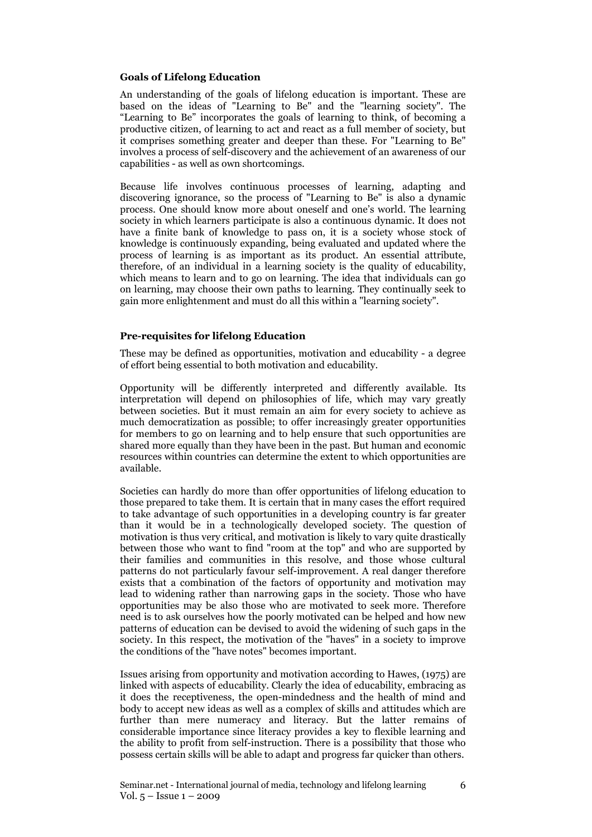#### Goals of Lifelong Education

An understanding of the goals of lifelong education is important. These are based on the ideas of "Learning to Be" and the "learning society". The "Learning to Be" incorporates the goals of learning to think, of becoming a productive citizen, of learning to act and react as a full member of society, but it comprises something greater and deeper than these. For "Learning to Be" involves a process of self-discovery and the achievement of an awareness of our capabilities - as well as own shortcomings.

Because life involves continuous processes of learning, adapting and discovering ignorance, so the process of "Learning to Be" is also a dynamic process. One should know more about oneself and one's world. The learning society in which learners participate is also a continuous dynamic. It does not have a finite bank of knowledge to pass on, it is a society whose stock of knowledge is continuously expanding, being evaluated and updated where the process of learning is as important as its product. An essential attribute, therefore, of an individual in a learning society is the quality of educability, which means to learn and to go on learning. The idea that individuals can go on learning, may choose their own paths to learning. They continually seek to gain more enlightenment and must do all this within a "learning society".

#### Pre-requisites for lifelong Education

These may be defined as opportunities, motivation and educability - a degree of effort being essential to both motivation and educability.

Opportunity will be differently interpreted and differently available. Its interpretation will depend on philosophies of life, which may vary greatly between societies. But it must remain an aim for every society to achieve as much democratization as possible; to offer increasingly greater opportunities for members to go on learning and to help ensure that such opportunities are shared more equally than they have been in the past. But human and economic resources within countries can determine the extent to which opportunities are available.

Societies can hardly do more than offer opportunities of lifelong education to those prepared to take them. It is certain that in many cases the effort required to take advantage of such opportunities in a developing country is far greater than it would be in a technologically developed society. The question of motivation is thus very critical, and motivation is likely to vary quite drastically between those who want to find "room at the top" and who are supported by their families and communities in this resolve, and those whose cultural patterns do not particularly favour self-improvement. A real danger therefore exists that a combination of the factors of opportunity and motivation may lead to widening rather than narrowing gaps in the society. Those who have opportunities may be also those who are motivated to seek more. Therefore need is to ask ourselves how the poorly motivated can be helped and how new patterns of education can be devised to avoid the widening of such gaps in the society. In this respect, the motivation of the "haves" in a society to improve the conditions of the "have notes" becomes important.

Issues arising from opportunity and motivation according to Hawes, (1975) are linked with aspects of educability. Clearly the idea of educability, embracing as it does the receptiveness, the open-mindedness and the health of mind and body to accept new ideas as well as a complex of skills and attitudes which are further than mere numeracy and literacy. But the latter remains of considerable importance since literacy provides a key to flexible learning and the ability to profit from self-instruction. There is a possibility that those who possess certain skills will be able to adapt and progress far quicker than others.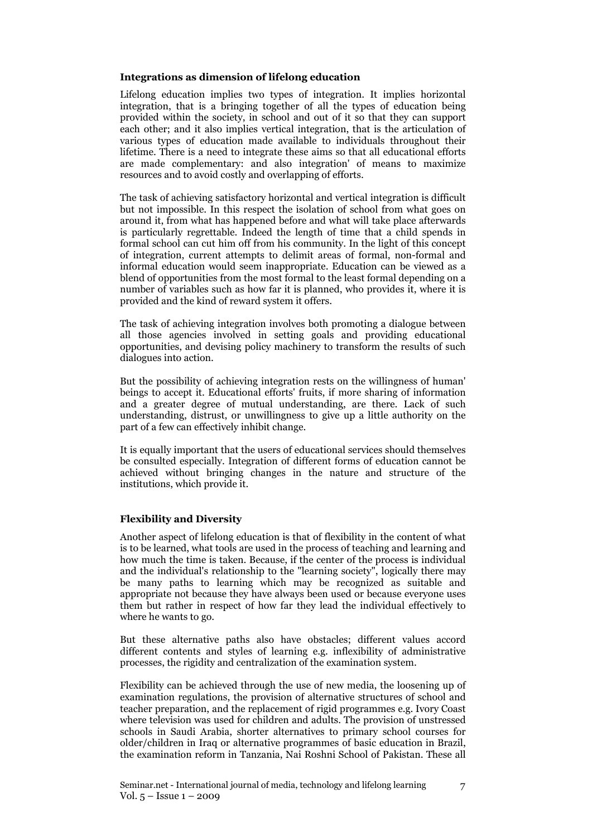#### Integrations as dimension of lifelong education

Lifelong education implies two types of integration. It implies horizontal integration, that is a bringing together of all the types of education being provided within the society, in school and out of it so that they can support each other; and it also implies vertical integration, that is the articulation of various types of education made available to individuals throughout their lifetime. There is a need to integrate these aims so that all educational efforts are made complementary: and also integration' of means to maximize resources and to avoid costly and overlapping of efforts.

The task of achieving satisfactory horizontal and vertical integration is difficult but not impossible. In this respect the isolation of school from what goes on around it, from what has happened before and what will take place afterwards is particularly regrettable. Indeed the length of time that a child spends in formal school can cut him off from his community. In the light of this concept of integration, current attempts to delimit areas of formal, non-formal and informal education would seem inappropriate. Education can be viewed as a blend of opportunities from the most formal to the least formal depending on a number of variables such as how far it is planned, who provides it, where it is provided and the kind of reward system it offers.

The task of achieving integration involves both promoting a dialogue between all those agencies involved in setting goals and providing educational opportunities, and devising policy machinery to transform the results of such dialogues into action.

But the possibility of achieving integration rests on the willingness of human' beings to accept it. Educational efforts' fruits, if more sharing of information and a greater degree of mutual understanding, are there. Lack of such understanding, distrust, or unwillingness to give up a little authority on the part of a few can effectively inhibit change.

It is equally important that the users of educational services should themselves be consulted especially. Integration of different forms of education cannot be achieved without bringing changes in the nature and structure of the institutions, which provide it.

#### Flexibility and Diversity

Another aspect of lifelong education is that of flexibility in the content of what is to be learned, what tools are used in the process of teaching and learning and how much the time is taken. Because, if the center of the process is individual and the individual's relationship to the "learning society", logically there may be many paths to learning which may be recognized as suitable and appropriate not because they have always been used or because everyone uses them but rather in respect of how far they lead the individual effectively to where he wants to go.

But these alternative paths also have obstacles; different values accord different contents and styles of learning e.g. inflexibility of administrative processes, the rigidity and centralization of the examination system.

Flexibility can be achieved through the use of new media, the loosening up of examination regulations, the provision of alternative structures of school and teacher preparation, and the replacement of rigid programmes e.g. Ivory Coast where television was used for children and adults. The provision of unstressed schools in Saudi Arabia, shorter alternatives to primary school courses for older/children in Iraq or alternative programmes of basic education in Brazil, the examination reform in Tanzania, Nai Roshni School of Pakistan. These all